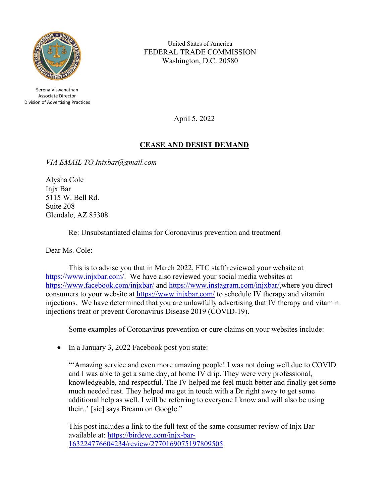

Serena Viswanathan Associate Director Division of Advertising Practices

United States of America FEDERAL TRADE COMMISSION Washington, D.C. 20580

April 5, 2022

## **CEASE AND DESIST DEMAND**

*VIA EMAIL TO Injxbar@gmail.com* 

Alysha Cole Injx Bar 5115 W. Bell Rd. Suite 208 Glendale, AZ 85308

Re: Unsubstantiated claims for Coronavirus prevention and treatment

Dear Ms. Cole:

This is to advise you that in March 2022, FTC staff reviewed your website at [https://www.injxbar.com/.](https://injxbar.com/) We have also reviewed your social media websites at <https://www.facebook.com/injxbar/> and [https://www.instagram.com/injxbar/,](https://www.instagram.com/injxbar/)where you direct consumers to your website at [https://www.injxbar.com/](https://injxbar.com/) to schedule IV therapy and vitamin injections. We have determined that you are unlawfully advertising that IV therapy and vitamin injections treat or prevent Coronavirus Disease 2019 (COVID-19).

Some examples of Coronavirus prevention or cure claims on your websites include:

• In a January 3, 2022 Facebook post you state:

"'Amazing service and even more amazing people! I was not doing well due to COVID and I was able to get a same day, at home IV drip. They were very professional, knowledgeable, and respectful. The IV helped me feel much better and finally get some much needed rest. They helped me get in touch with a Dr right away to get some additional help as well. I will be referring to everyone I know and will also be using their..' [sic] says Breann on Google."

This post includes a link to the full text of the same consumer review of Injx Bar available at: [https://birdeye.com/injx-bar-](https://birdeye.com/injx-bar-163224776604234/review/2770169075197809505)[163224776604234/review/2770169075197809505.](https://birdeye.com/injx-bar-163224776604234/review/2770169075197809505)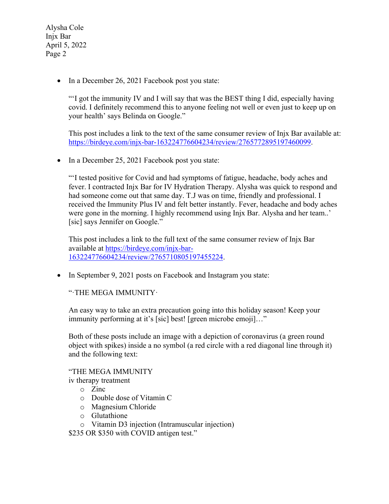• In a December 26, 2021 Facebook post you state:

"'I got the immunity IV and I will say that was the BEST thing I did, especially having covid. I definitely recommend this to anyone feeling not well or even just to keep up on your health' says Belinda on Google."

This post includes a link to the text of the same consumer review of Injx Bar available at: [https://birdeye.com/injx-bar-163224776604234/review/2765772895197460099.](https://birdeye.com/injx-bar-163224776604234/review/2765772895197460099)

• In a December 25, 2021 Facebook post you state:

"'I tested positive for Covid and had symptoms of fatigue, headache, body aches and fever. I contracted Injx Bar for IV Hydration Therapy. Alysha was quick to respond and had someone come out that same day. T.J was on time, friendly and professional. I received the Immunity Plus IV and felt better instantly. Fever, headache and body aches were gone in the morning. I highly recommend using Injx Bar. Alysha and her team..' [sic] says Jennifer on Google."

This post includes a link to the full text of the same consumer review of Injx Bar available at [https://birdeye.com/injx-bar-](https://birdeye.com/injx-bar-163224776604234/review/2765710805197455224)[163224776604234/review/2765710805197455224.](https://birdeye.com/injx-bar-163224776604234/review/2765710805197455224)

• In September 9, 2021 posts on Facebook and Instagram you state:

"·THE MEGA IMMUNITY·

An easy way to take an extra precaution going into this holiday season! Keep your immunity performing at it's [sic] best! [green microbe emoji]…"

Both of these posts include an image with a depiction of coronavirus (a green round object with spikes) inside a no symbol (a red circle with a red diagonal line through it) and the following text:

"THE MEGA IMMUNITY

iv therapy treatment

- o Zinc
- o Double dose of Vitamin C
- o Magnesium Chloride
- o Glutathione
- o Vitamin D3 injection (Intramuscular injection)

\$235 OR \$350 with COVID antigen test."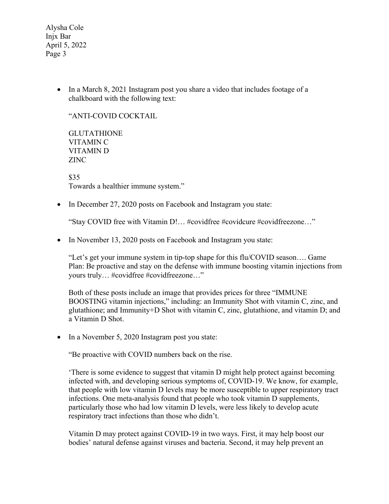> • In a March 8, 2021 Instagram post you share a video that includes footage of a chalkboard with the following text:

"ANTI-COVID COCKTAIL

GLUTATHIONE VITAMIN C VITAMIN D ZINC

\$35 Towards a healthier immune system."

• In December 27, 2020 posts on Facebook and Instagram you state:

"Stay COVID free with Vitamin D!… #covidfree #covidcure #covidfreezone…"

• In November 13, 2020 posts on Facebook and Instagram you state:

"Let's get your immune system in tip-top shape for this flu/COVID season…. Game Plan: Be proactive and stay on the defense with immune boosting vitamin injections from yours truly… #covidfree #covidfreezone…"

Both of these posts include an image that provides prices for three "IMMUNE BOOSTING vitamin injections," including: an Immunity Shot with vitamin C, zinc, and glutathione; and Immunity+D Shot with vitamin C, zinc, glutathione, and vitamin D; and a Vitamin D Shot.

• In a November 5, 2020 Instagram post you state:

"Be proactive with COVID numbers back on the rise.

'There is some evidence to suggest that vitamin D might help protect against becoming infected with, and developing serious symptoms of, COVID-19. We know, for example, that people with low vitamin D levels may be more susceptible to upper respiratory tract infections. One meta-analysis found that people who took vitamin D supplements, particularly those who had low vitamin D levels, were less likely to develop acute respiratory tract infections than those who didn't.

Vitamin D may protect against COVID-19 in two ways. First, it may help boost our bodies' natural defense against viruses and bacteria. Second, it may help prevent an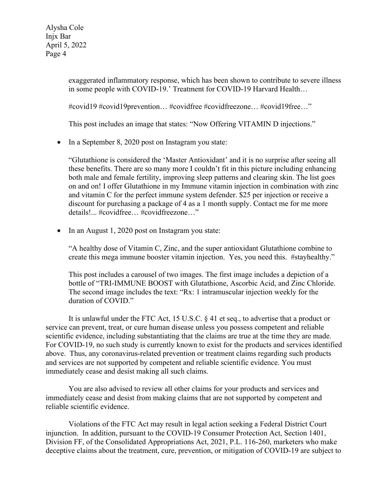> exaggerated inflammatory response, which has been shown to contribute to severe illness in some people with COVID-19.' Treatment for COVID-19 Harvard Health…

#covid19 #covid19prevention… #covidfree #covidfreezone… #covid19free…"

This post includes an image that states: "Now Offering VITAMIN D injections."

• In a September 8, 2020 post on Instagram you state:

"Glutathione is considered the 'Master Antioxidant' and it is no surprise after seeing all these benefits. There are so many more I couldn't fit in this picture including enhancing both male and female fertility, improving sleep patterns and clearing skin. The list goes on and on! I offer Glutathione in my Immune vitamin injection in combination with zinc and vitamin C for the perfect immune system defender. \$25 per injection or receive a discount for purchasing a package of 4 as a 1 month supply. Contact me for me more details!... #covidfree… #covidfreezone…"

• In an August 1, 2020 post on Instagram you state:

"A healthy dose of Vitamin C, Zinc, and the super antioxidant Glutathione combine to create this mega immune booster vitamin injection. Yes, you need this. #stayhealthy."

This post includes a carousel of two images. The first image includes a depiction of a bottle of "TRI-IMMUNE BOOST with Glutathione, Ascorbic Acid, and Zinc Chloride. The second image includes the text: "Rx: 1 intramuscular injection weekly for the duration of COVID."

It is unlawful under the FTC Act, 15 U.S.C. § 41 et seq., to advertise that a product or service can prevent, treat, or cure human disease unless you possess competent and reliable scientific evidence, including substantiating that the claims are true at the time they are made. For COVID-19, no such study is currently known to exist for the products and services identified above. Thus, any coronavirus-related prevention or treatment claims regarding such products and services are not supported by competent and reliable scientific evidence. You must immediately cease and desist making all such claims.

You are also advised to review all other claims for your products and services and immediately cease and desist from making claims that are not supported by competent and reliable scientific evidence.

Violations of the FTC Act may result in legal action seeking a Federal District Court injunction. In addition, pursuant to the COVID-19 Consumer Protection Act, Section 1401, Division FF, of the Consolidated Appropriations Act, 2021, P.L. 116-260, marketers who make deceptive claims about the treatment, cure, prevention, or mitigation of COVID-19 are subject to